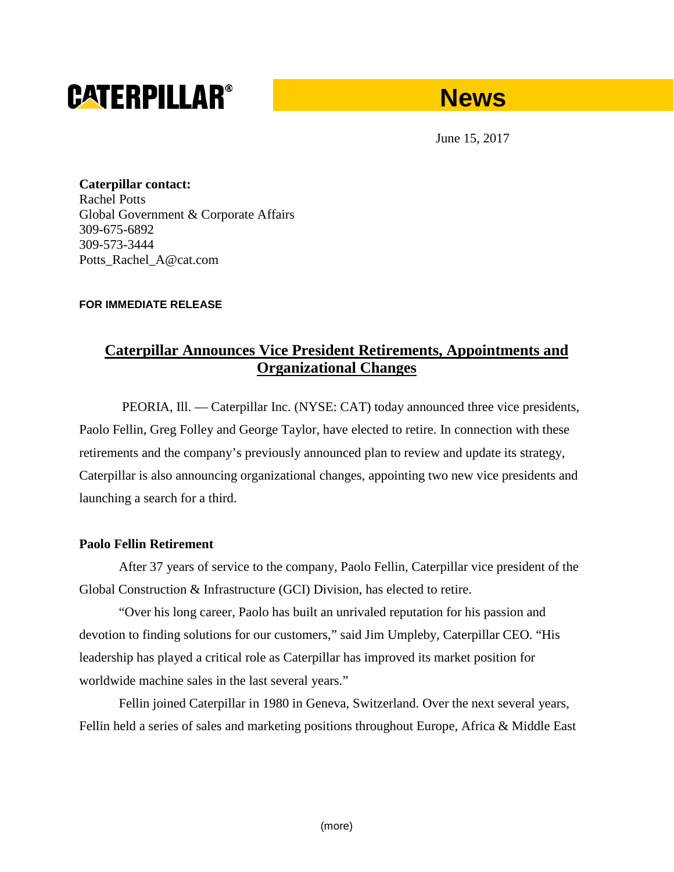# **CATERPILLAR®**

## **News**

June 15, 2017

**Caterpillar contact:** Rachel Potts Global Government & Corporate Affairs 309-675-6892 309-573-3444 Potts\_Rachel\_A@cat.com

#### **FOR IMMEDIATE RELEASE**

## **Caterpillar Announces Vice President Retirements, Appointments and Organizational Changes**

PEORIA, Ill. — Caterpillar Inc. (NYSE: CAT) today announced three vice presidents, Paolo Fellin, Greg Folley and George Taylor, have elected to retire. In connection with these retirements and the company's previously announced plan to review and update its strategy, Caterpillar is also announcing organizational changes, appointing two new vice presidents and launching a search for a third.

#### **Paolo Fellin Retirement**

After 37 years of service to the company, Paolo Fellin, Caterpillar vice president of the Global Construction & Infrastructure (GCI) Division, has elected to retire.

"Over his long career, Paolo has built an unrivaled reputation for his passion and devotion to finding solutions for our customers," said Jim Umpleby, Caterpillar CEO. "His leadership has played a critical role as Caterpillar has improved its market position for worldwide machine sales in the last several years."

Fellin joined Caterpillar in 1980 in Geneva, Switzerland. Over the next several years, Fellin held a series of sales and marketing positions throughout Europe, Africa & Middle East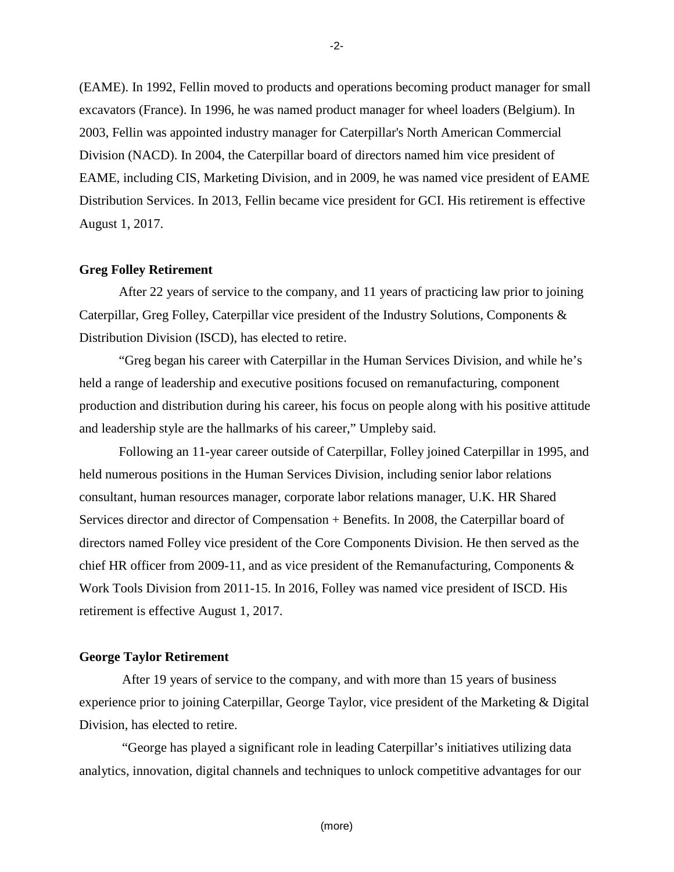(EAME). In 1992, Fellin moved to products and operations becoming product manager for small excavators (France). In 1996, he was named product manager for wheel loaders (Belgium). In 2003, Fellin was appointed industry manager for Caterpillar's North American Commercial Division (NACD). In 2004, the Caterpillar board of directors named him vice president of EAME, including CIS, Marketing Division, and in 2009, he was named vice president of EAME Distribution Services. In 2013, Fellin became vice president for GCI. His retirement is effective August 1, 2017.

#### **Greg Folley Retirement**

After 22 years of service to the company, and 11 years of practicing law prior to joining Caterpillar, Greg Folley, Caterpillar vice president of the Industry Solutions, Components & Distribution Division (ISCD), has elected to retire.

"Greg began his career with Caterpillar in the Human Services Division, and while he's held a range of leadership and executive positions focused on remanufacturing, component production and distribution during his career, his focus on people along with his positive attitude and leadership style are the hallmarks of his career," Umpleby said.

Following an 11-year career outside of Caterpillar, Folley joined Caterpillar in 1995, and held numerous positions in the Human Services Division, including senior labor relations consultant, human resources manager, corporate labor relations manager, U.K. HR Shared Services director and director of Compensation + Benefits. In 2008, the Caterpillar board of directors named Folley vice president of the Core Components Division. He then served as the chief HR officer from 2009-11, and as vice president of the Remanufacturing, Components & Work Tools Division from 2011-15. In 2016, Folley was named vice president of ISCD. His retirement is effective August 1, 2017.

#### **George Taylor Retirement**

After 19 years of service to the company, and with more than 15 years of business experience prior to joining Caterpillar, George Taylor, vice president of the Marketing & Digital Division, has elected to retire.

"George has played a significant role in leading Caterpillar's initiatives utilizing data analytics, innovation, digital channels and techniques to unlock competitive advantages for our

-2-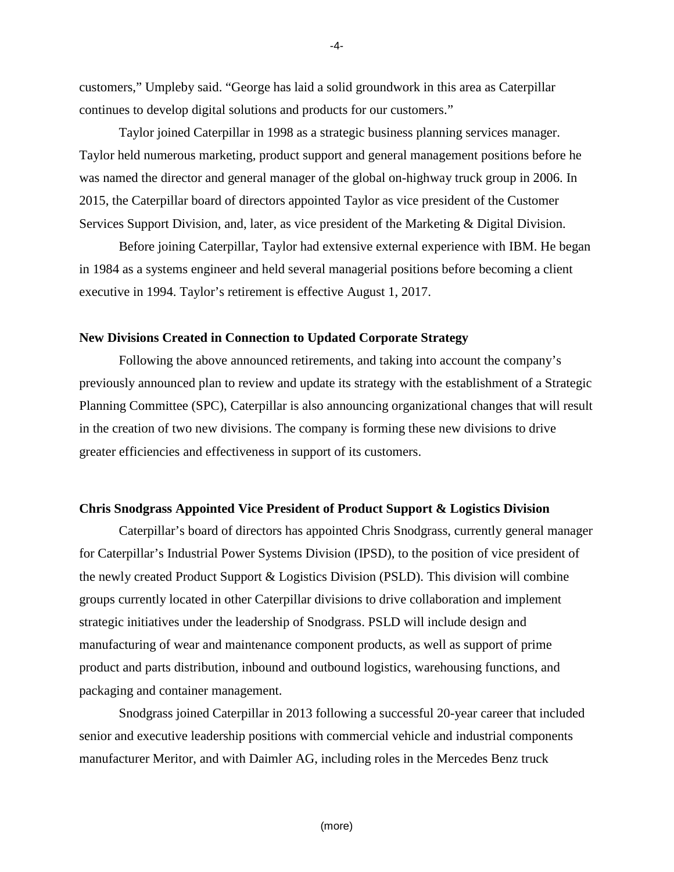customers," Umpleby said. "George has laid a solid groundwork in this area as Caterpillar continues to develop digital solutions and products for our customers."

Taylor joined Caterpillar in 1998 as a strategic business planning services manager. Taylor held numerous marketing, product support and general management positions before he was named the director and general manager of the global on-highway truck group in 2006. In 2015, the Caterpillar board of directors appointed Taylor as vice president of the Customer Services Support Division, and, later, as vice president of the Marketing & Digital Division.

Before joining Caterpillar, Taylor had extensive external experience with IBM. He began in 1984 as a systems engineer and held several managerial positions before becoming a client executive in 1994. Taylor's retirement is effective August 1, 2017.

#### **New Divisions Created in Connection to Updated Corporate Strategy**

Following the above announced retirements, and taking into account the company's previously announced plan to review and update its strategy with the establishment of a Strategic Planning Committee (SPC), Caterpillar is also announcing organizational changes that will result in the creation of two new divisions. The company is forming these new divisions to drive greater efficiencies and effectiveness in support of its customers.

#### **Chris Snodgrass Appointed Vice President of Product Support & Logistics Division**

Caterpillar's board of directors has appointed Chris Snodgrass, currently general manager for Caterpillar's Industrial Power Systems Division (IPSD), to the position of vice president of the newly created Product Support & Logistics Division (PSLD). This division will combine groups currently located in other Caterpillar divisions to drive collaboration and implement strategic initiatives under the leadership of Snodgrass. PSLD will include design and manufacturing of wear and maintenance component products, as well as support of prime product and parts distribution, inbound and outbound logistics, warehousing functions, and packaging and container management.

Snodgrass joined Caterpillar in 2013 following a successful 20-year career that included senior and executive leadership positions with commercial vehicle and industrial components manufacturer Meritor, and with Daimler AG, including roles in the Mercedes Benz truck

-4-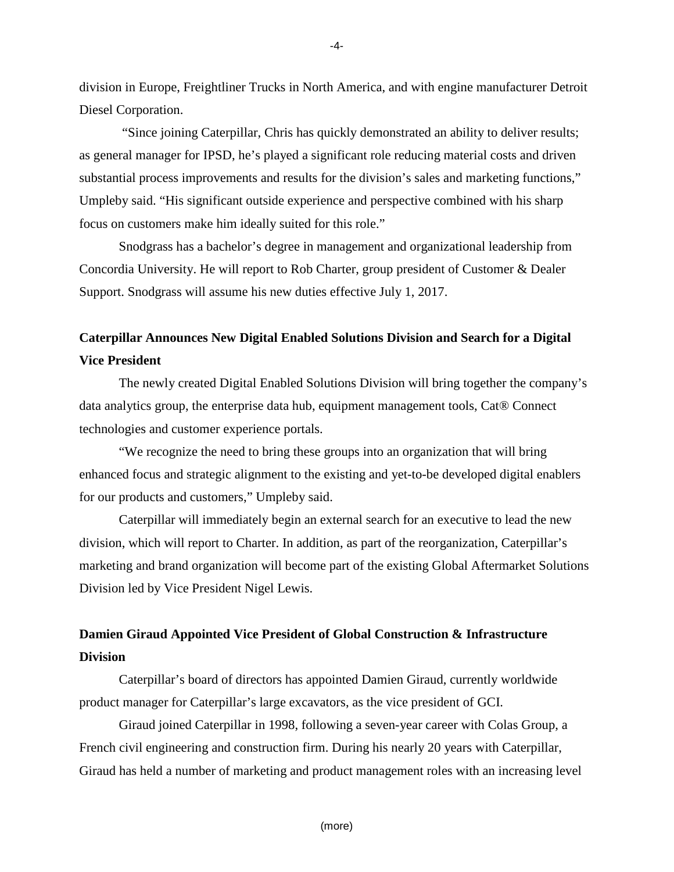division in Europe, Freightliner Trucks in North America, and with engine manufacturer Detroit Diesel Corporation.

"Since joining Caterpillar, Chris has quickly demonstrated an ability to deliver results; as general manager for IPSD, he's played a significant role reducing material costs and driven substantial process improvements and results for the division's sales and marketing functions," Umpleby said. "His significant outside experience and perspective combined with his sharp focus on customers make him ideally suited for this role."

Snodgrass has a bachelor's degree in management and organizational leadership from Concordia University. He will report to Rob Charter, group president of Customer & Dealer Support. Snodgrass will assume his new duties effective July 1, 2017.

### **Caterpillar Announces New Digital Enabled Solutions Division and Search for a Digital Vice President**

The newly created Digital Enabled Solutions Division will bring together the company's data analytics group, the enterprise data hub, equipment management tools, Cat® Connect technologies and customer experience portals.

"We recognize the need to bring these groups into an organization that will bring enhanced focus and strategic alignment to the existing and yet-to-be developed digital enablers for our products and customers," Umpleby said.

Caterpillar will immediately begin an external search for an executive to lead the new division, which will report to Charter. In addition, as part of the reorganization, Caterpillar's marketing and brand organization will become part of the existing Global Aftermarket Solutions Division led by Vice President Nigel Lewis.

## **Damien Giraud Appointed Vice President of Global Construction & Infrastructure Division**

Caterpillar's board of directors has appointed Damien Giraud, currently worldwide product manager for Caterpillar's large excavators, as the vice president of GCI.

Giraud joined Caterpillar in 1998, following a seven-year career with Colas Group, a French civil engineering and construction firm. During his nearly 20 years with Caterpillar, Giraud has held a number of marketing and product management roles with an increasing level

-4-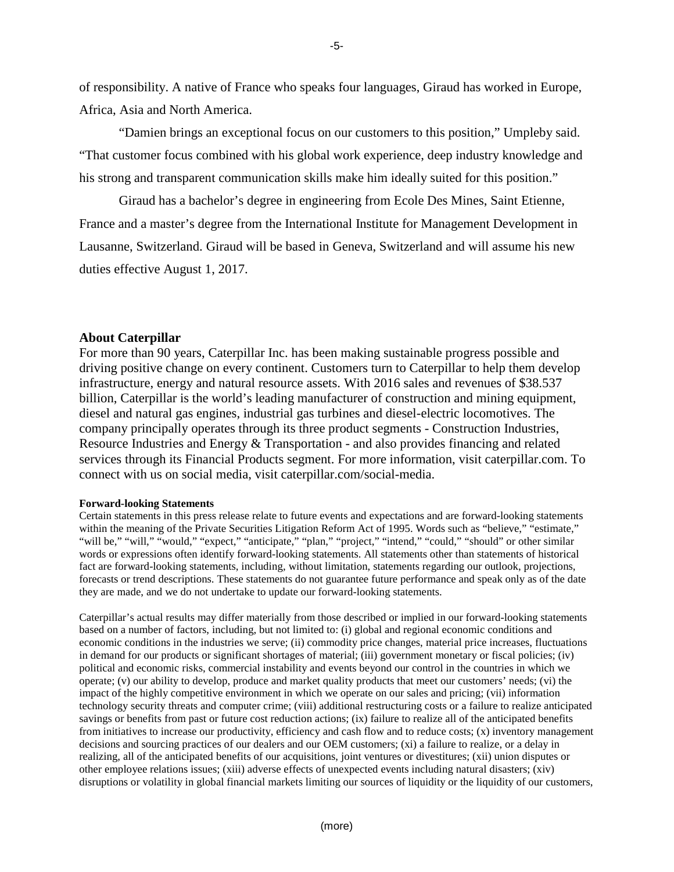of responsibility. A native of France who speaks four languages, Giraud has worked in Europe, Africa, Asia and North America.

"Damien brings an exceptional focus on our customers to this position," Umpleby said. "That customer focus combined with his global work experience, deep industry knowledge and his strong and transparent communication skills make him ideally suited for this position."

Giraud has a bachelor's degree in engineering from Ecole Des Mines, Saint Etienne, France and a master's degree from the International Institute for Management Development in Lausanne, Switzerland. Giraud will be based in Geneva, Switzerland and will assume his new duties effective August 1, 2017.

#### **About Caterpillar**

For more than 90 years, Caterpillar Inc. has been making sustainable progress possible and driving positive change on every continent. Customers turn to Caterpillar to help them develop infrastructure, energy and natural resource assets. With 2016 sales and revenues of \$38.537 billion, Caterpillar is the world's leading manufacturer of construction and mining equipment, diesel and natural gas engines, industrial gas turbines and diesel-electric locomotives. The company principally operates through its three product segments - Construction Industries, Resource Industries and Energy & Transportation - and also provides financing and related services through its Financial Products segment. For more information, visit caterpillar.com. To connect with us on social media, visit caterpillar.com/social-media.

#### **Forward-looking Statements**

Certain statements in this press release relate to future events and expectations and are forward-looking statements within the meaning of the Private Securities Litigation Reform Act of 1995. Words such as "believe," "estimate," "will be," "will," "would," "expect," "anticipate," "plan," "project," "intend," "could," "should" or other similar words or expressions often identify forward-looking statements. All statements other than statements of historical fact are forward-looking statements, including, without limitation, statements regarding our outlook, projections, forecasts or trend descriptions. These statements do not guarantee future performance and speak only as of the date they are made, and we do not undertake to update our forward-looking statements.

Caterpillar's actual results may differ materially from those described or implied in our forward-looking statements based on a number of factors, including, but not limited to: (i) global and regional economic conditions and economic conditions in the industries we serve; (ii) commodity price changes, material price increases, fluctuations in demand for our products or significant shortages of material; (iii) government monetary or fiscal policies; (iv) political and economic risks, commercial instability and events beyond our control in the countries in which we operate; (v) our ability to develop, produce and market quality products that meet our customers' needs; (vi) the impact of the highly competitive environment in which we operate on our sales and pricing; (vii) information technology security threats and computer crime; (viii) additional restructuring costs or a failure to realize anticipated savings or benefits from past or future cost reduction actions; (ix) failure to realize all of the anticipated benefits from initiatives to increase our productivity, efficiency and cash flow and to reduce costs; (x) inventory management decisions and sourcing practices of our dealers and our OEM customers; (xi) a failure to realize, or a delay in realizing, all of the anticipated benefits of our acquisitions, joint ventures or divestitures; (xii) union disputes or other employee relations issues; (xiii) adverse effects of unexpected events including natural disasters; (xiv) disruptions or volatility in global financial markets limiting our sources of liquidity or the liquidity of our customers,